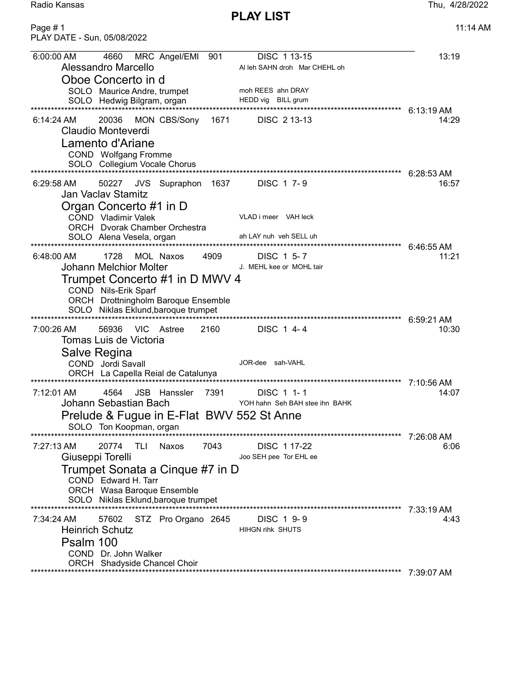Radio Kansas Thu, 4/28/2022

PLAY LIST

Page # 1 11:14 AM PLAY DATE - Sun, 05/08/2022 6:00:00 AM 4660 MRC Angel/EMI 901 DISC 1 13-15 13:19<br>Alessandro Marcello Alleh SAHN droh MarcHEHL oh Al leh SAHN droh Mar CHEHL oh Oboe Concerto in d SOLO Maurice Andre, trumpet moh REES ahn DRAY SOLO Hedwig Bilgram, organ HEDD vig BILL grum \*\*\*\*\*\*\*\*\*\*\*\*\*\*\*\*\*\*\*\*\*\*\*\*\*\*\*\*\*\*\*\*\*\*\*\*\*\*\*\*\*\*\*\*\*\*\*\*\*\*\*\*\*\*\*\*\*\*\*\*\*\*\*\*\*\*\*\*\*\*\*\*\*\*\*\*\*\*\*\*\*\*\*\*\*\*\*\*\*\*\*\*\*\*\*\*\*\*\*\*\*\*\*\*\*\*\*\*\*\* 6:13:19 AM 6:14:24 AM 20036 MON CBS/Sony 1671 DISC 2 13-13 14:29 Claudio Monteverdi Lamento d'Ariane COND Wolfgang Fromme SOLO Collegium Vocale Chorus \*\*\*\*\*\*\*\*\*\*\*\*\*\*\*\*\*\*\*\*\*\*\*\*\*\*\*\*\*\*\*\*\*\*\*\*\*\*\*\*\*\*\*\*\*\*\*\*\*\*\*\*\*\*\*\*\*\*\*\*\*\*\*\*\*\*\*\*\*\*\*\*\*\*\*\*\*\*\*\*\*\*\*\*\*\*\*\*\*\*\*\*\*\*\*\*\*\*\*\*\*\*\*\*\*\*\*\*\*\* 6:28:53 AM 6:29:58 AM 50227 JVS Supraphon 1637 DISC 1 7- 9 16:57 Jan Vaclav Stamitz Organ Concerto #1 in D COND Vladimir Valek VLAD i meer VAH leck ORCH Dvorak Chamber Orchestra SOLO Alena Vesela, organ ah LAY nuh veh SELL uh \*\*\*\*\*\*\*\*\*\*\*\*\*\*\*\*\*\*\*\*\*\*\*\*\*\*\*\*\*\*\*\*\*\*\*\*\*\*\*\*\*\*\*\*\*\*\*\*\*\*\*\*\*\*\*\*\*\*\*\*\*\*\*\*\*\*\*\*\*\*\*\*\*\*\*\*\*\*\*\*\*\*\*\*\*\*\*\*\*\*\*\*\*\*\*\*\*\*\*\*\*\*\*\*\*\*\*\*\*\* 6:46:55 AM 6:48:00 AM 1728 MOL Naxos 4909 DISC 1 5-7 11:21 Johann Melchior Molter **J. MEHL kee or MOHL** tair Trumpet Concerto #1 in D MWV 4 COND Nils-Erik Sparf ORCH Drottningholm Baroque Ensemble SOLO Niklas Eklund,baroque trumpet \*\*\*\*\*\*\*\*\*\*\*\*\*\*\*\*\*\*\*\*\*\*\*\*\*\*\*\*\*\*\*\*\*\*\*\*\*\*\*\*\*\*\*\*\*\*\*\*\*\*\*\*\*\*\*\*\*\*\*\*\*\*\*\*\*\*\*\*\*\*\*\*\*\*\*\*\*\*\*\*\*\*\*\*\*\*\*\*\*\*\*\*\*\*\*\*\*\*\*\*\*\*\*\*\*\*\*\*\*\* 6:59:21 AM 7:00:26 AM 56936 VIC Astree 2160 DISC 1 4- 4 10:30 Tomas Luis de Victoria Salve Regina COND Jordi Savall JOR-dee sah-VAHL ORCH La Capella Reial de Catalunya \*\*\*\*\*\*\*\*\*\*\*\*\*\*\*\*\*\*\*\*\*\*\*\*\*\*\*\*\*\*\*\*\*\*\*\*\*\*\*\*\*\*\*\*\*\*\*\*\*\*\*\*\*\*\*\*\*\*\*\*\*\*\*\*\*\*\*\*\*\*\*\*\*\*\*\*\*\*\*\*\*\*\*\*\*\*\*\*\*\*\*\*\*\*\*\*\*\*\*\*\*\*\*\*\*\*\*\*\*\* 7:10:56 AM 7:12:01 AM 4564 JSB Hanssler 7391 DISC 1 1- 1 14:07 Johann Sebastian Bach Prelude & Fugue in E-Flat BWV 552 St Anne SOLO Ton Koopman, organ ان UULU انا المحمد UULU انا المعدد بين السور المعدد بين المعدد بين المعدد بين بين المعدد بين بين المعدد بين بي<br>7:26:08 AM 7:27:13 AM 20774 TLI Naxos 7043 DISC 1 17-22 6:06 Giuseppi Torelli and The Controller Controller Joo SEH pee Tor EHL ee Trumpet Sonata a Cinque #7 in D COND Edward H. Tarr ORCH Wasa Baroque Ensemble SOLO Niklas Eklund,baroque trumpet \*\*\*\*\*\*\*\*\*\*\*\*\*\*\*\*\*\*\*\*\*\*\*\*\*\*\*\*\*\*\*\*\*\*\*\*\*\*\*\*\*\*\*\*\*\*\*\*\*\*\*\*\*\*\*\*\*\*\*\*\*\*\*\*\*\*\*\*\*\*\*\*\*\*\*\*\*\*\*\*\*\*\*\*\*\*\*\*\*\*\*\*\*\*\*\*\*\*\*\*\*\*\*\*\*\*\*\*\*\* 7:33:19 AM 7:34:24 AM 57602 STZ Pro Organo 2645 DISC 1 9-9<br>
Heinrich Schutz Hillen ihk SHUTS Heinrich Schutz Psalm 100 COND Dr. John Walker ORCH Shadyside Chancel Choir

\*\*\*\*\*\*\*\*\*\*\*\*\*\*\*\*\*\*\*\*\*\*\*\*\*\*\*\*\*\*\*\*\*\*\*\*\*\*\*\*\*\*\*\*\*\*\*\*\*\*\*\*\*\*\*\*\*\*\*\*\*\*\*\*\*\*\*\*\*\*\*\*\*\*\*\*\*\*\*\*\*\*\*\*\*\*\*\*\*\*\*\*\*\*\*\*\*\*\*\*\*\*\*\*\*\*\*\*\*\* 7:39:07 AM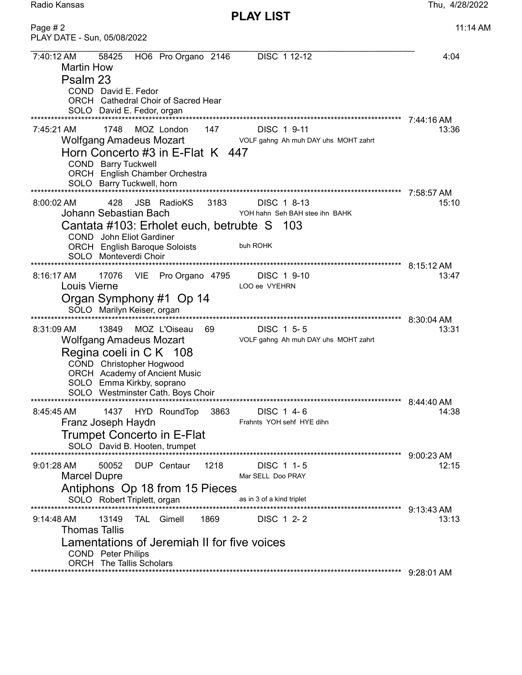PLAY LIST

| Page #2<br>PLAY DATE - Sun, 05/08/2022                                                                                                                                                                                                                                                             | 11:14 AM              |
|----------------------------------------------------------------------------------------------------------------------------------------------------------------------------------------------------------------------------------------------------------------------------------------------------|-----------------------|
| DISC 1 12-12<br>7:40:12 AM<br>58425<br>HO6 Pro Organo 2146<br><b>Martin How</b><br>Psalm 23<br>COND David E. Fedor<br>ORCH Cathedral Choir of Sacred Hear<br>SOLO David E. Fedor, organ                                                                                                            | 4:04<br>7:44:16 AM    |
| 7:45:21 AM<br>MOZ London<br>147<br>1748<br>DISC 1 9-11<br><b>Wolfgang Amadeus Mozart</b><br>VOLF gahng Ah muh DAY uhs MOHT zahrt<br>Horn Concerto #3 in E-Flat K 447<br>COND Barry Tuckwell<br><b>ORCH</b> English Chamber Orchestra<br>SOLO Barry Tuckwell, horn                                  | 13:36<br>7:58:57 AM   |
| JSB RadioKS 3183<br>$8:00:02$ AM<br>428<br>DISC 1 8-13<br>Johann Sebastian Bach<br>YOH hahn Seh BAH stee ihn BAHK<br>Cantata #103: Erholet euch, betrubte S 103<br><b>COND</b> John Eliot Gardiner<br><b>ORCH</b> English Baroque Soloists<br>buh ROHK<br>SOLO Monteverdi Choir                    | 15:10<br>$8:15:12$ AM |
| $8:16:17$ AM<br>17076<br>VIE<br>Pro Organo 4795<br>DISC 1 9-10<br>Louis Vierne<br>LOO ee VYEHRN<br>Organ Symphony #1 Op 14<br>SOLO Marilyn Keiser, organ                                                                                                                                           | 13:47                 |
| MOZ L'Oiseau<br>13849<br>69<br>DISC 1 5-5<br>8:31:09 AM<br><b>Wolfgang Amadeus Mozart</b><br>VOLF gahng Ah muh DAY uhs MOHT zahrt<br>Regina coeli in C K 108<br>COND Christopher Hogwood<br><b>ORCH</b> Academy of Ancient Music<br>SOLO Emma Kirkby, soprano<br>SOLO Westminster Cath. Boys Choir | 8:30:04 AM<br>13:31   |
| DISC 1 4-6<br>8:45:45 AM<br>1437<br>HYD RoundTop<br>3863<br>Franz Joseph Haydn<br>Frahnts YOH sehf HYE dihn<br><b>Trumpet Concerto in E-Flat</b><br>SOLO David B. Hooten, trumpet                                                                                                                  | 14:38                 |
| 1218<br>50052<br>DUP Centaur<br>$9:01:28$ AM<br>DISC 1 1-5<br><b>Marcel Dupre</b><br>Mar SELL Doo PRAY<br>Antiphons Op 18 from 15 Pieces<br>SOLO Robert Triplett, organ<br>as in 3 of a kind triplet                                                                                               | 9:00:23 AM<br>12:15   |
| <b>TAL</b> Gimell<br>1869<br>DISC 1 2-2<br>9:14:48 AM<br>13149<br>Thomas Tallis<br>Lamentations of Jeremiah II for five voices<br><b>COND</b> Peter Philips                                                                                                                                        | 9:13:43 AM<br>13:13   |
| <b>ORCH</b> The Tallis Scholars                                                                                                                                                                                                                                                                    | $9:28:01$ AM          |